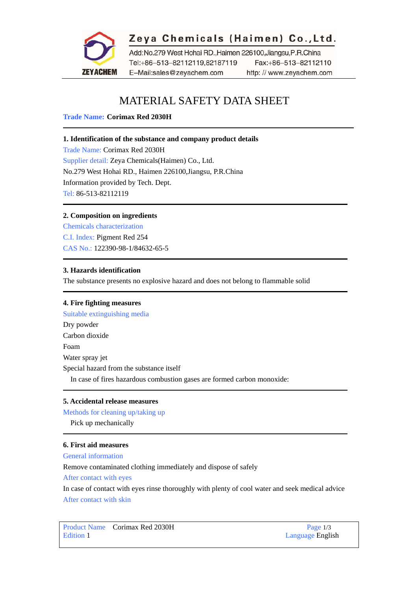

## Zeya Chemicals (Haimen) Co., Ltd.

Add:No.279 West Hohai RD.,Haimen 226100,Jiangsu,P.R.China Tel:+86-513-82112119,82187119 Fax:+86-513-82112110 E-Mail:sales@zeyachem.com http://www.zeyachem.com

# MATERIAL SAFETY DATA SHEET

**Trade Name: Corimax Red 2030H** 

## **1. Identification of the substance and company product details**

Trade Name: Corimax Red 2030H Supplier detail: Zeya Chemicals(Haimen) Co., Ltd. No.279 West Hohai RD., Haimen 226100,Jiangsu, P.R.China Information provided by Tech. Dept. Tel: 86-513-82112119

## **2. Composition on ingredients**

Chemicals characterization C.I. Index: [Pigment Red 254](https://www.zeyachem.net/pigment-red-254.html)  CAS No.: 122390-98-1/84632-65-5

### **3. Hazards identification**

The substance presents no explosive hazard and does not belong to flammable solid

## **4. Fire fighting measures**

Suitable extinguishing media Dry powder Carbon dioxide Foam Water spray jet Special hazard from the substance itself In case of fires hazardous combustion gases are formed carbon monoxide:

## **5. Accidental release measures**

Methods for cleaning up/taking up

Pick up mechanically

## **6. First aid measures**

General information

Remove contaminated clothing immediately and dispose of safely

After contact with eyes

In case of contact with eyes rinse thoroughly with plenty of cool water and seek medical advice After contact with skin

Product Name Corimax Red 2030H Page 1/3 Edition 1 Language English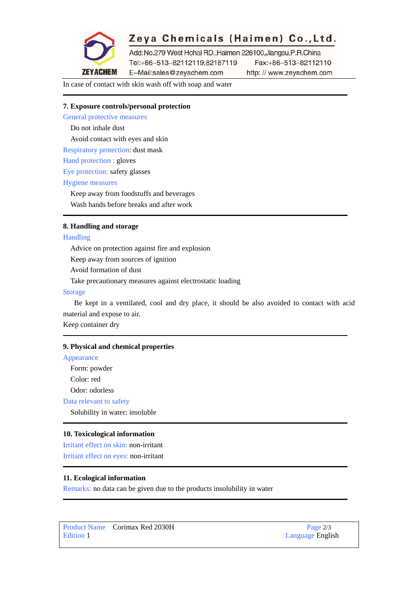

# Zeya Chemicals (Haimen) Co., Ltd.

Add:No.279 West Hohai RD.,Haimen 226100,Jiangsu,P.R.China Tel:+86-513-82112119,82187119 Fax:+86-513-82112110 E-Mail:sales@zeyachem.com

http://www.zeyachem.com

In case of contact with skin wash off with soap and water

## **7. Exposure controls/personal protection**

General protective measures

Do not inhale dust

Avoid contact with eyes and skin

Respiratory protection: dust mask

Hand protection : gloves

Eye protection: safety glasses

#### Hygiene measures

Keep away from foodstuffs and beverages

Wash hands before breaks and after work

## **8. Handling and storage**

#### Handling

Advice on protection against fire and explosion

Keep away from sources of ignition

Avoid formation of dust

Take precautionary measures against electrostatic loading

#### Storage

Be kept in a ventilated, cool and dry place, it should be also avoided to contact with acid material and expose to air.

Keep container dry

#### **9. Physical and chemical properties**

## Appearance

Form: powder

Color: red

Odor: odorless

Data relevant to safety

Solubility in water: insoluble

#### **10. Toxicological information**

Irritant effect on skin: non-irritant Irritant effect on eyes: non-irritant

#### **11. Ecological information**

Remarks: no data can be given due to the products insolubility in water